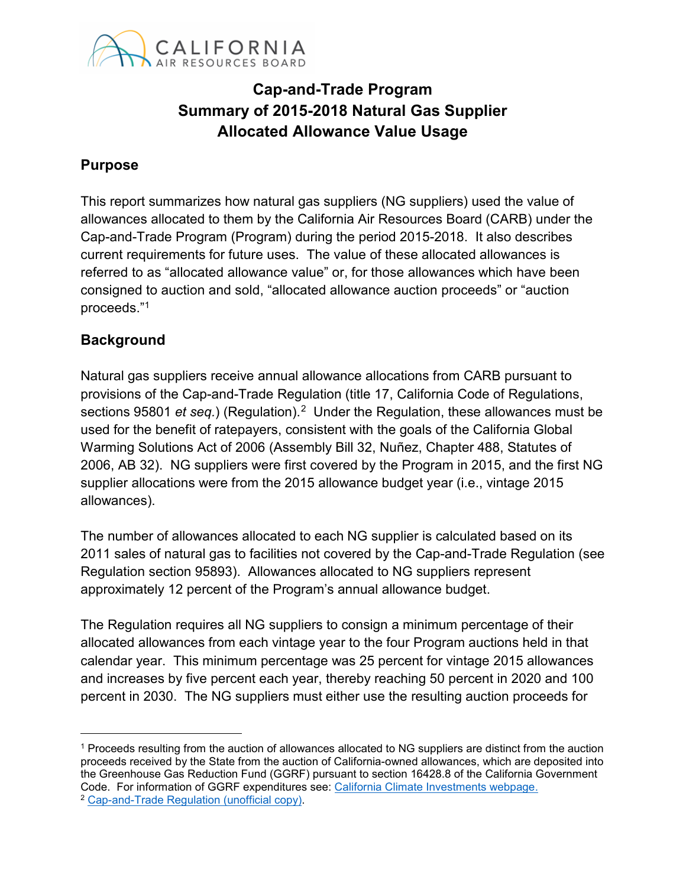

# **Cap-and-Trade Program Summary of 2015-2018 Natural Gas Supplier Allocated Allowance Value Usage**

### **Purpose**

 Cap-and-Trade Program (Program) during the period 2015-2018. It also describes current requirements for future uses. The value of these allocated allowances is This report summarizes how natural gas suppliers (NG suppliers) used the value of allowances allocated to them by the California Air Resources Board (CARB) under the referred to as "allocated allowance value" or, for those allowances which have been consigned to auction and sold, "allocated allowance auction proceeds" or "auction proceeds."[1](#page-0-0) 

#### **Background**

 sections 95801 *et seq.*) (Regulation).[2](#page-0-1) Under the Regulation, these allowances must be 2006, AB 32). NG suppliers were first covered by the Program in 2015, and the first NG supplier allocations were from the 2015 allowance budget year (i.e., vintage 2015 Natural gas suppliers receive annual allowance allocations from CARB pursuant to provisions of the Cap-and-Trade Regulation (title 17, California Code of Regulations, used for the benefit of ratepayers, consistent with the goals of the California Global Warming Solutions Act of 2006 (Assembly Bill 32, Nuñez, Chapter 488, Statutes of allowances).

The number of allowances allocated to each NG supplier is calculated based on its 2011 sales of natural gas to facilities not covered by the Cap-and-Trade Regulation (see Regulation section 95893). Allowances allocated to NG suppliers represent approximately 12 percent of the Program's annual allowance budget.

 percent in 2030. The NG suppliers must either use the resulting auction proceeds for The Regulation requires all NG suppliers to consign a minimum percentage of their allocated allowances from each vintage year to the four Program auctions held in that calendar year. This minimum percentage was 25 percent for vintage 2015 allowances and increases by five percent each year, thereby reaching 50 percent in 2020 and 100

<span id="page-0-0"></span> proceeds received by the State from the auction of California-owned allowances, which are deposited into the Greenhouse Gas Reduction Fund (GGRF) pursuant to section 16428.8 of the California Government Code. For information of GGRF expenditures see: <u>California Climate Investments webpage.</u><br><sup>2</sup> <u>Cap-and-Trade Regulation (unofficial copy)</u>. 1 Proceeds resulting from the auction of allowances allocated to NG suppliers are distinct from the auction

<span id="page-0-1"></span>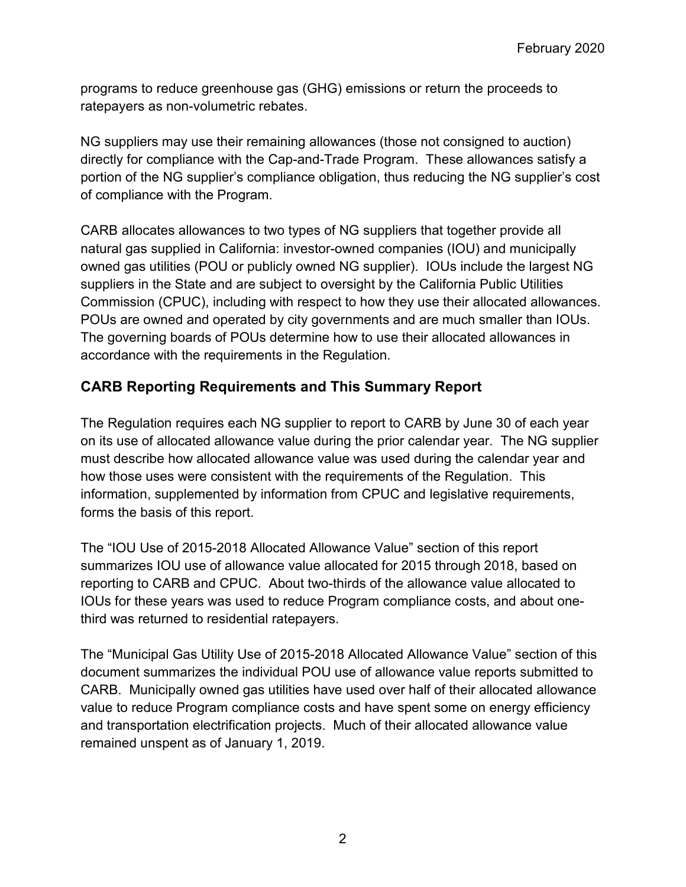programs to reduce greenhouse gas (GHG) emissions or return the proceeds to ratepayers as non-volumetric rebates.

NG suppliers may use their remaining allowances (those not consigned to auction) directly for compliance with the Cap-and-Trade Program. These allowances satisfy a portion of the NG supplier's compliance obligation, thus reducing the NG supplier's cost of compliance with the Program.

POUs are owned and operated by city governments and are much smaller than IOUs. POUs are owned and operated by city governments and are much smaller than IOUs.<br>The governing boards of POUs determine how to use their allocated allowances in CARB allocates allowances to two types of NG suppliers that together provide all natural gas supplied in California: investor-owned companies (IOU) and municipally owned gas utilities (POU or publicly owned NG supplier). IOUs include the largest NG suppliers in the State and are subject to oversight by the California Public Utilities Commission (CPUC), including with respect to how they use their allocated allowances. accordance with the requirements in the Regulation.

# **CARB Reporting Requirements and This Summary Report**

 on its use of allocated allowance value during the prior calendar year. The NG supplier how those uses were consistent with the requirements of the Regulation. This The Regulation requires each NG supplier to report to CARB by June 30 of each year must describe how allocated allowance value was used during the calendar year and information, supplemented by information from CPUC and legislative requirements, forms the basis of this report.

The "IOU Use of 2015-2018 Allocated Allowance Value" section of this report summarizes IOU use of allowance value allocated for 2015 through 2018, based on reporting to CARB and CPUC. About two-thirds of the allowance value allocated to IOUs for these years was used to reduce Program compliance costs, and about onethird was returned to residential ratepayers.

The "Municipal Gas Utility Use of 2015-2018 Allocated Allowance Value" section of this document summarizes the individual POU use of allowance value reports submitted to CARB. Municipally owned gas utilities have used over half of their allocated allowance value to reduce Program compliance costs and have spent some on energy efficiency and transportation electrification projects. Much of their allocated allowance value remained unspent as of January 1, 2019.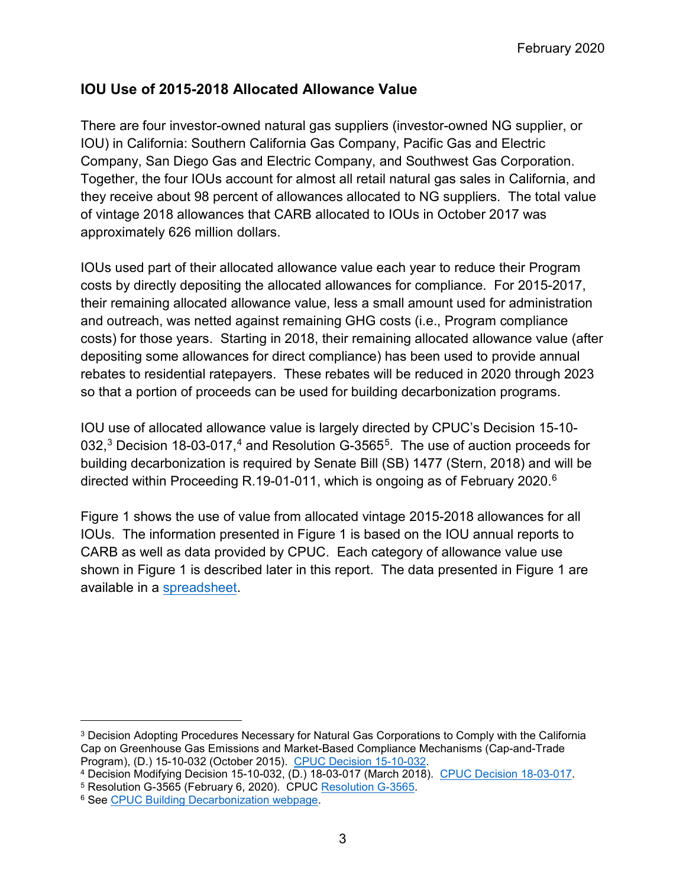### **IOU Use of 2015-2018 Allocated Allowance Value**

There are four investor-owned natural gas suppliers (investor-owned NG supplier, or IOU) in California: Southern California Gas Company, Pacific Gas and Electric Company, San Diego Gas and Electric Company, and Southwest Gas Corporation. Together, the four IOUs account for almost all retail natural gas sales in California, and they receive about 98 percent of allowances allocated to NG suppliers. The total value of vintage 2018 allowances that CARB allocated to IOUs in October 2017 was approximately 626 million dollars.

IOUs used part of their allocated allowance value each year to reduce their Program costs by directly depositing the allocated allowances for compliance. For 2015-2017, their remaining allocated allowance value, less a small amount used for administration and outreach, was netted against remaining GHG costs (i.e., Program compliance costs) for those years. Starting in 2018, their remaining allocated allowance value (after depositing some allowances for direct compliance) has been used to provide annual rebates to residential ratepayers. These rebates will be reduced in 2020 through 2023 so that a portion of proceeds can be used for building decarbonization programs.

IOU use of allocated allowance value is largely directed by CPUC's Decision 15-10- 0[3](#page-2-0)2,<sup>3</sup> Decision 18-03-017,<sup>[4](#page-2-1)</sup> and Resolution G-3565<sup>5</sup>. The use of auction proceeds for building decarbonization is required by Senate Bill (SB) 1477 (Stern, 2018) and will be directed within Proceeding R.19-01-011, which is ongoing as of February 2020. [6](#page-2-3)

 CARB as well as data provided by CPUC. Each category of allowance value use shown in Figure 1 is described later in this report. The data presented in Figure 1 are Figure 1 shows the use of value from allocated vintage 2015-2018 allowances for all IOUs. The information presented in Figure 1 is based on the IOU annual reports to available in [a spreadsheet.](https://ww3.arb.ca.gov/cc/capandtrade/allowanceallocation/ng_uofavtables.xlsx) 

<span id="page-2-0"></span> $^3$  Decision Adopting Procedures Necessary for Natural Gas Corporations to Comply with the California  $\,$ Program), (D.) 15-10-032 (October 2015). CPUC Decision 15-10-032. Cap on Greenhouse Gas Emissions and Market-Based Compliance Mechanisms (Cap-and-Trade

<span id="page-2-1"></span><sup>&</sup>lt;sup>4</sup> Decision Modifying Decision 15-10-032, (D.) 1[8-03-017 \(March 201](http://docs.cpuc.ca.gov/PublishedDocs/Published/G000/M327/K039/327039698.PDF)8). [CPUC Decision 18-03-017.](http://docs.cpuc.ca.gov/PublishedDocs/Published/G000/M212/K370/212370733.PDF)<br><sup>5</sup> Resolution G-3565 (February 6, 2020). CPUC <u>Resolution G-3565</u>.<br><sup>6</sup> See [CPUC Building Decarbonization webpage.](https://www.cpuc.ca.gov/BuildingDecarb/)

<span id="page-2-2"></span><sup>&</sup>lt;sup>5</sup> Resolution G-3565 (February 6, 2020). CPUC Resolution G-3565.

<span id="page-2-3"></span>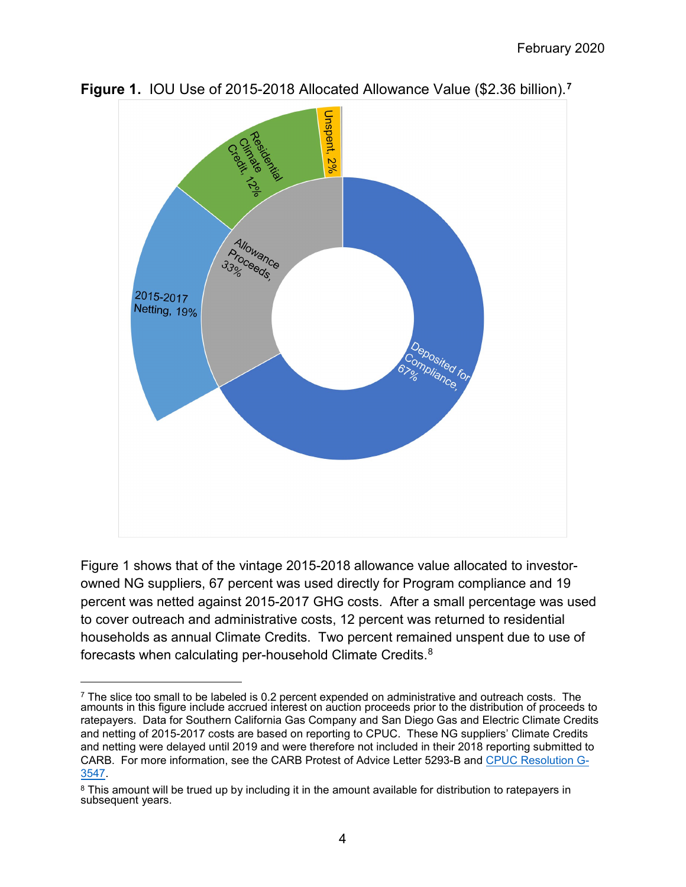

**Figure 1.** IOU Use of 2015-2018 Allocated Allowance Value (\$2.36 billion).**[7](#page-3-0)** 

 Figure 1 shows that of the vintage 2015-2018 allowance value allocated to investor- households as annual Climate Credits. Two percent remained unspent due to use of forecasts when calculating per-household Climate Credits. $^8$ owned NG suppliers, 67 percent was used directly for Program compliance and 19 percent was netted against 2015-2017 GHG costs. After a small percentage was used to cover outreach and administrative costs, 12 percent was returned to residential

<span id="page-3-0"></span><sup>&</sup>lt;sup>7</sup> The slice too small to be labeled is 0.2 percent expended on administrative and outreach costs. The amounts in this figure include accrued interest on auction proceeds prior to the distribution of proceeds to ratepayers. Data for Southern California Gas Company and San Diego Gas and Electric Climate Credits and netting of 2015-2017 costs are based on reporting to CPUC. These NG suppliers' Climate Credits and netting were delayed until 2019 and were therefore not included in their 2018 reporting submitted to CARB. For more information, see the CARB Protest of Advice Letter 5293-B and [CPUC Resolution G-](http://docs.cpuc.ca.gov/PublishedDocs/Published/G000/M264/K362/264362353.PDF)[3547.](http://docs.cpuc.ca.gov/PublishedDocs/Published/G000/M264/K362/264362353.PDF)

<span id="page-3-1"></span><sup>&</sup>lt;sup>8</sup> This amount will be trued up by including it in the amount available for distribution to ratepayers in subsequent years.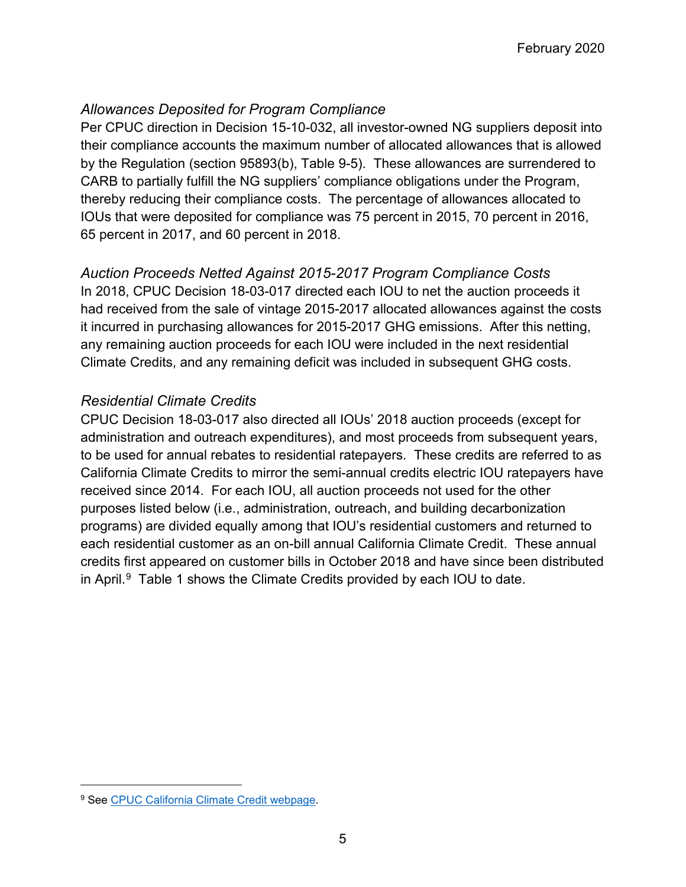# *Allowances Deposited for Program Compliance*

 Per CPUC direction in Decision 15-10-032, all investor-owned NG suppliers deposit into CARB to partially fulfill the NG suppliers' compliance obligations under the Program, thereby reducing their compliance costs. The percentage of allowances allocated to IOUs that were deposited for compliance was 75 percent in 2015, 70 percent in 2016, 65 percent in 2017, and 60 percent in 2018. their compliance accounts the maximum number of allocated allowances that is allowed by the Regulation (section 95893(b), Table 9-5). These allowances are surrendered to

#### *Auction Proceeds Netted Against 2015-2017 Program Compliance Costs*

 had received from the sale of vintage 2015-2017 allocated allowances against the costs any remaining auction proceeds for each IOU were included in the next residential In 2018, CPUC Decision 18-03-017 directed each IOU to net the auction proceeds it it incurred in purchasing allowances for 2015-2017 GHG emissions. After this netting, Climate Credits, and any remaining deficit was included in subsequent GHG costs.

# *Residential Climate Credits*

 CPUC Decision 18-03-017 also directed all IOUs' 2018 auction proceeds (except for administration and outreach expenditures), and most proceeds from subsequent years, to be used for annual rebates to residential ratepayers. These credits are referred to as in April. [9](#page-4-0) Table 1 shows the Climate Credits provided by each IOU to date. California Climate Credits to mirror the semi-annual credits electric IOU ratepayers have received since 2014. For each IOU, all auction proceeds not used for the other purposes listed below (i.e., administration, outreach, and building decarbonization programs) are divided equally among that IOU's residential customers and returned to each residential customer as an on-bill annual California Climate Credit. These annual credits first appeared on customer bills in October 2018 and have since been distributed

<span id="page-4-0"></span><sup>&</sup>lt;sup>9</sup> See [CPUC California Climate Credit webpage.](http://www.cpuc.ca.gov/ClimateCredit/)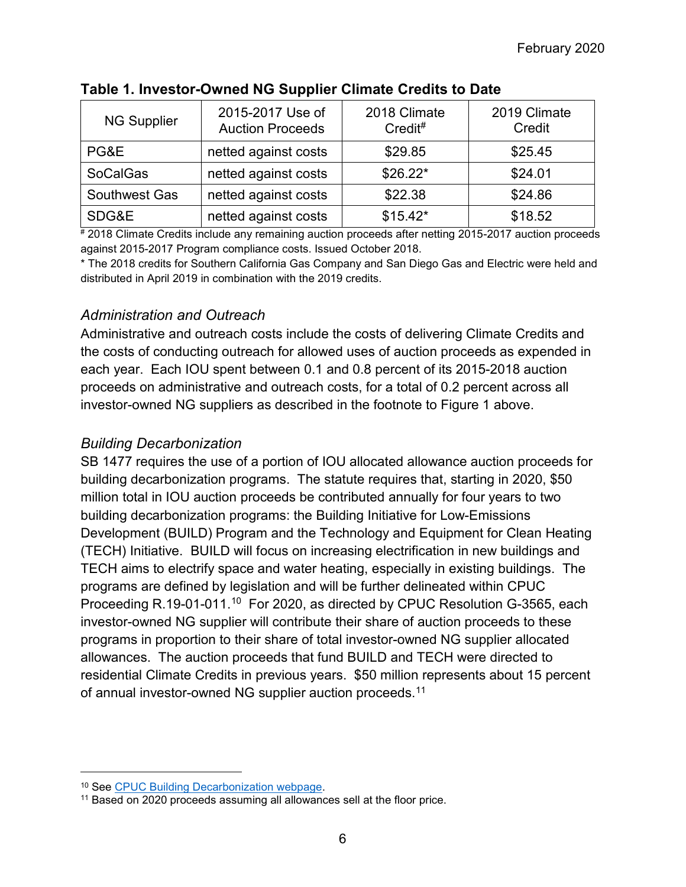| <b>NG Supplier</b> | 2015-2017 Use of<br><b>Auction Proceeds</b> | 2018 Climate<br>Credit# | 2019 Climate<br>Credit |
|--------------------|---------------------------------------------|-------------------------|------------------------|
| PG&E               | netted against costs                        | \$29.85                 | \$25.45                |
| <b>SoCalGas</b>    | netted against costs                        | $$26.22*$               | \$24.01                |
| Southwest Gas      | netted against costs                        | \$22.38                 | \$24.86                |
| SDG&E              | netted against costs                        | $$15.42*$               | \$18.52                |

#### **Table 1. Investor-Owned NG Supplier Climate Credits to Date**

# 2018 Climate Credits include any remaining auction proceeds after netting 2015-2017 auction proceeds against 2015-2017 Program compliance costs. Issued October 2018.

\* The 2018 credits for Southern California Gas Company and San Diego Gas and Electric were held and distributed in April 2019 in combination with the 2019 credits.

#### *Administration and Outreach*

 Administrative and outreach costs include the costs of delivering Climate Credits and each year. Each IOU spent between 0.1 and 0.8 percent of its 2015-2018 auction proceeds on administrative and outreach costs, for a total of 0.2 percent across all investor-owned NG suppliers as described in the footnote to Figure 1 above. the costs of conducting outreach for allowed uses of auction proceeds as expended in

#### *Building Decarbonization*

 TECH aims to electrify space and water heating, especially in existing buildings. The Proceeding R.19-01-011.<sup>[10](#page-5-0)</sup> For 2020, as directed by CPUC Resolution G-3565, each allowances. The auction proceeds that fund BUILD and TECH were directed to residential Climate Credits in previous years. \$50 million represents about 15 percent SB 1477 requires the use of a portion of IOU allocated allowance auction proceeds for building decarbonization programs. The statute requires that, starting in 2020, \$50 million total in IOU auction proceeds be contributed annually for four years to two building decarbonization programs: the Building Initiative for Low-Emissions Development (BUILD) Program and the Technology and Equipment for Clean Heating (TECH) Initiative. BUILD will focus on increasing electrification in new buildings and programs are defined by legislation and will be further delineated within CPUC investor-owned NG supplier will contribute their share of auction proceeds to these programs in proportion to their share of total investor-owned NG supplier allocated of annual investor-owned NG supplier auction proceeds.<sup>[11](#page-5-1)</sup>

<span id="page-5-1"></span><span id="page-5-0"></span>

<sup>&</sup>lt;sup>10</sup> See <u>CPUC Building Decarbonization webpage</u>.<br><sup>11</sup> Based on 2020 proceeds assuming all allowances sell at the floor price.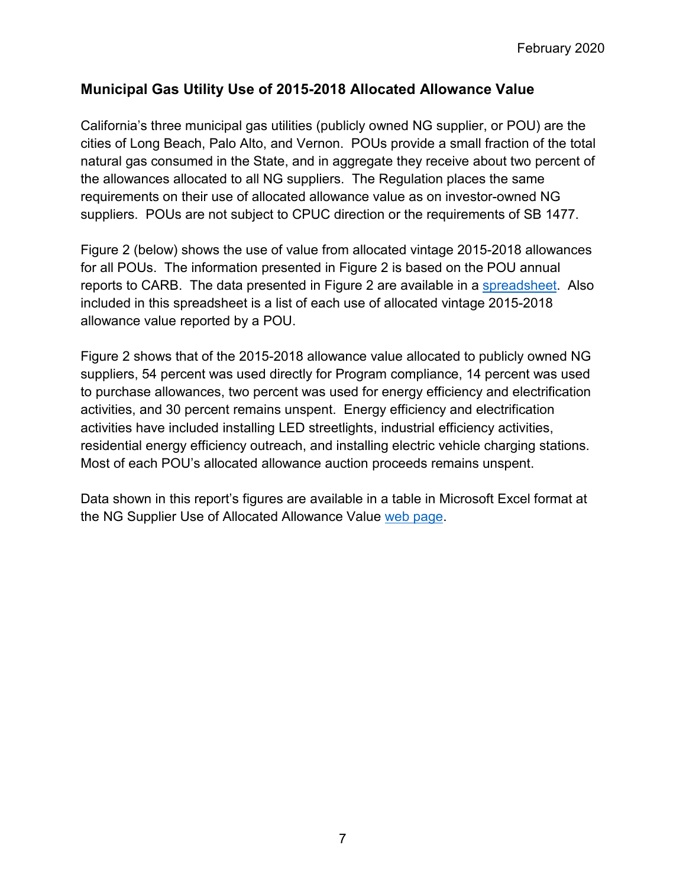# **Municipal Gas Utility Use of 2015-2018 Allocated Allowance Value**

 cities of Long Beach, Palo Alto, and Vernon. POUs provide a small fraction of the total the allowances allocated to all NG suppliers. The Regulation places the same suppliers. POUs are not subject to CPUC direction or the requirements of SB 1477. California's three municipal gas utilities (publicly owned NG supplier, or POU) are the natural gas consumed in the State, and in aggregate they receive about two percent of requirements on their use of allocated allowance value as on investor-owned NG

 Figure 2 (below) shows the use of value from allocated vintage 2015-2018 allowances reports to CARB. The data presented in Figure 2 are available in a <u>spreadsheet</u>. Also included in this spreadsheet is a list of each use of allocated vintage 2015-2018 for all POUs. The information presented in Figure 2 is based on the POU annual allowance value reported by a POU.

 suppliers, 54 percent was used directly for Program compliance, 14 percent was used activities, and 30 percent remains unspent. Energy efficiency and electrification residential energy efficiency outreach, and installing electric vehicle charging stations. Figure 2 shows that of the 2015-2018 allowance value allocated to publicly owned NG to purchase allowances, two percent was used for energy efficiency and electrification activities have included installing LED streetlights, industrial efficiency activities, Most of each POU's allocated allowance auction proceeds remains unspent.

Data shown in this report's figures are available in a table in Microsoft Excel format at the NG Supplier Use of Allocated Allowance Value [web page.](https://ww3.arb.ca.gov/cc/capandtrade/allowanceallocation/edu-ng-allowance-value.htm)